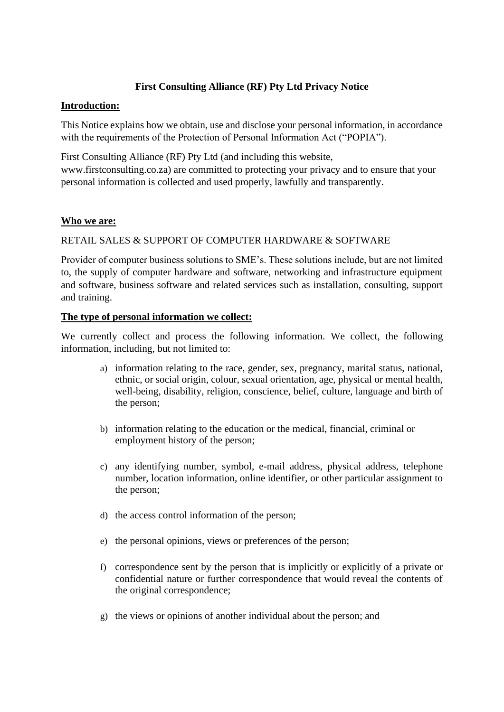# **First Consulting Alliance (RF) Pty Ltd Privacy Notice**

#### **Introduction:**

This Notice explains how we obtain, use and disclose your personal information, in accordance with the requirements of the Protection of Personal Information Act ("POPIA").

First Consulting Alliance (RF) Pty Ltd (and including this website, www.firstconsulting.co.za) are committed to protecting your privacy and to ensure that your personal information is collected and used properly, lawfully and transparently.

#### **Who we are:**

## RETAIL SALES & SUPPORT OF COMPUTER HARDWARE & SOFTWARE

Provider of computer business solutions to SME's. These solutions include, but are not limited to, the supply of computer hardware and software, networking and infrastructure equipment and software, business software and related services such as installation, consulting, support and training.

#### **The type of personal information we collect:**

We currently collect and process the following information. We collect, the following information, including, but not limited to:

- a) information relating to the race, gender, sex, pregnancy, marital status, national, ethnic, or social origin, colour, sexual orientation, age, physical or mental health, well-being, disability, religion, conscience, belief, culture, language and birth of the person;
- b) information relating to the education or the medical, financial, criminal or employment history of the person;
- c) any identifying number, symbol, e-mail address, physical address, telephone number, location information, online identifier, or other particular assignment to the person;
- d) the access control information of the person;
- e) the personal opinions, views or preferences of the person;
- f) correspondence sent by the person that is implicitly or explicitly of a private or confidential nature or further correspondence that would reveal the contents of the original correspondence;
- g) the views or opinions of another individual about the person; and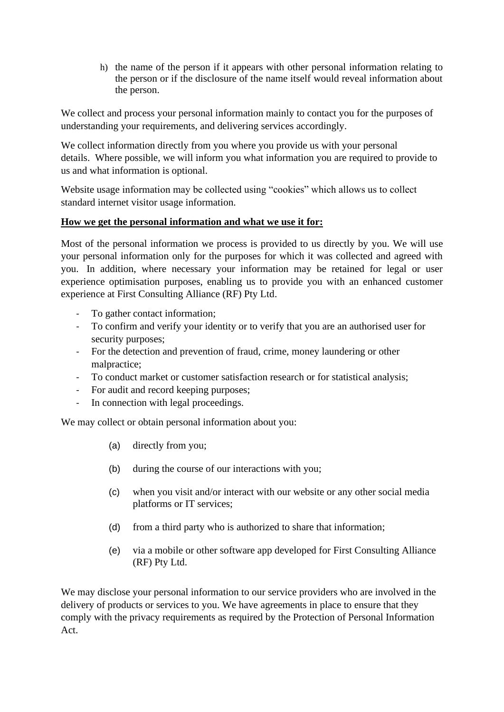h) the name of the person if it appears with other personal information relating to the person or if the disclosure of the name itself would reveal information about the person.

We collect and process your personal information mainly to contact you for the purposes of understanding your requirements, and delivering services accordingly.

We collect information directly from you where you provide us with your personal details. Where possible, we will inform you what information you are required to provide to us and what information is optional.

Website usage information may be collected using "cookies" which allows us to collect standard internet visitor usage information.

## **How we get the personal information and what we use it for:**

Most of the personal information we process is provided to us directly by you. We will use your personal information only for the purposes for which it was collected and agreed with you. In addition, where necessary your information may be retained for legal or user experience optimisation purposes, enabling us to provide you with an enhanced customer experience at First Consulting Alliance (RF) Pty Ltd.

- To gather contact information;
- To confirm and verify your identity or to verify that you are an authorised user for security purposes;
- For the detection and prevention of fraud, crime, money laundering or other malpractice;
- To conduct market or customer satisfaction research or for statistical analysis;
- For audit and record keeping purposes;
- In connection with legal proceedings.

We may collect or obtain personal information about you:

- (a) directly from you;
- (b) during the course of our interactions with you;
- (c) when you visit and/or interact with our website or any other social media platforms or IT services;
- (d) from a third party who is authorized to share that information;
- (e) via a mobile or other software app developed for First Consulting Alliance (RF) Pty Ltd.

We may disclose your personal information to our service providers who are involved in the delivery of products or services to you. We have agreements in place to ensure that they comply with the privacy requirements as required by the Protection of Personal Information Act.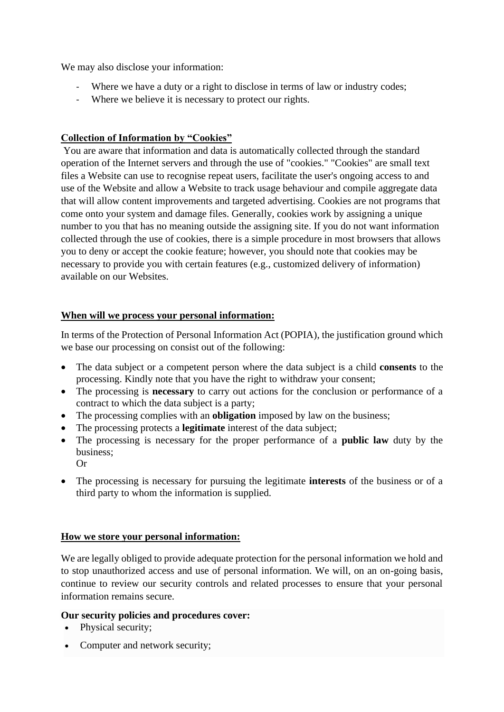We may also disclose your information:

- Where we have a duty or a right to disclose in terms of law or industry codes;
- Where we believe it is necessary to protect our rights.

# **Collection of Information by "Cookies"**

You are aware that information and data is automatically collected through the standard operation of the Internet servers and through the use of "cookies." "Cookies" are small text files a Website can use to recognise repeat users, facilitate the user's ongoing access to and use of the Website and allow a Website to track usage behaviour and compile aggregate data that will allow content improvements and targeted advertising. Cookies are not programs that come onto your system and damage files. Generally, cookies work by assigning a unique number to you that has no meaning outside the assigning site. If you do not want information collected through the use of cookies, there is a simple procedure in most browsers that allows you to deny or accept the cookie feature; however, you should note that cookies may be necessary to provide you with certain features (e.g., customized delivery of information) available on our Websites.

## **When will we process your personal information:**

In terms of the Protection of Personal Information Act (POPIA), the justification ground which we base our processing on consist out of the following:

- The data subject or a competent person where the data subject is a child **consents** to the processing. Kindly note that you have the right to withdraw your consent;
- The processing is **necessary** to carry out actions for the conclusion or performance of a contract to which the data subject is a party;
- The processing complies with an **obligation** imposed by law on the business;
- The processing protects a **legitimate** interest of the data subject;
- The processing is necessary for the proper performance of a **public law** duty by the business; Or
- The processing is necessary for pursuing the legitimate **interests** of the business or of a third party to whom the information is supplied.

## **How we store your personal information:**

We are legally obliged to provide adequate protection for the personal information we hold and to stop unauthorized access and use of personal information. We will, on an on-going basis, continue to review our security controls and related processes to ensure that your personal information remains secure.

## **Our security policies and procedures cover:**

- Physical security;
- Computer and network security;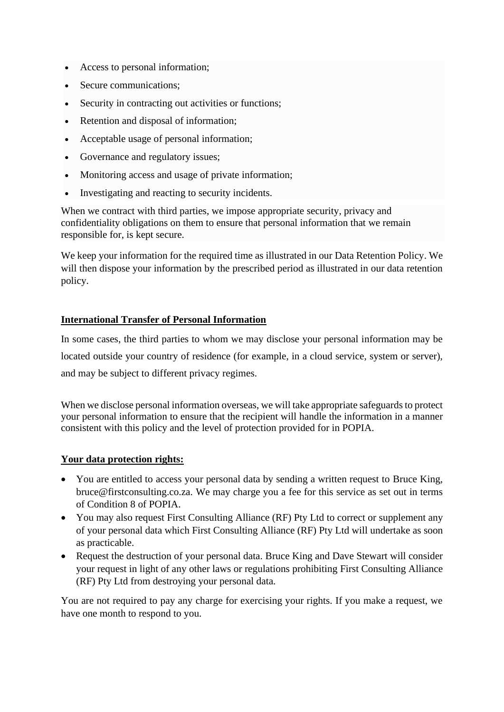- Access to personal information;
- Secure communications:
- Security in contracting out activities or functions;
- Retention and disposal of information;
- Acceptable usage of personal information;
- Governance and regulatory issues;
- Monitoring access and usage of private information;
- Investigating and reacting to security incidents.

When we contract with third parties, we impose appropriate security, privacy and confidentiality obligations on them to ensure that personal information that we remain responsible for, is kept secure.

We keep your information for the required time as illustrated in our Data Retention Policy. We will then dispose your information by the prescribed period as illustrated in our data retention policy.

## **International Transfer of Personal Information**

In some cases, the third parties to whom we may disclose your personal information may be located outside your country of residence (for example, in a cloud service, system or server), and may be subject to different privacy regimes.

When we disclose personal information overseas, we will take appropriate safeguards to protect your personal information to ensure that the recipient will handle the information in a manner consistent with this policy and the level of protection provided for in POPIA.

## **Your data protection rights:**

- You are entitled to access your personal data by sending a written request to Bruce King, bruce@firstconsulting.co.za. We may charge you a fee for this service as set out in terms of Condition 8 of POPIA.
- You may also request First Consulting Alliance (RF) Pty Ltd to correct or supplement any of your personal data which First Consulting Alliance (RF) Pty Ltd will undertake as soon as practicable.
- Request the destruction of your personal data. Bruce King and Dave Stewart will consider your request in light of any other laws or regulations prohibiting First Consulting Alliance (RF) Pty Ltd from destroying your personal data.

You are not required to pay any charge for exercising your rights. If you make a request, we have one month to respond to you.